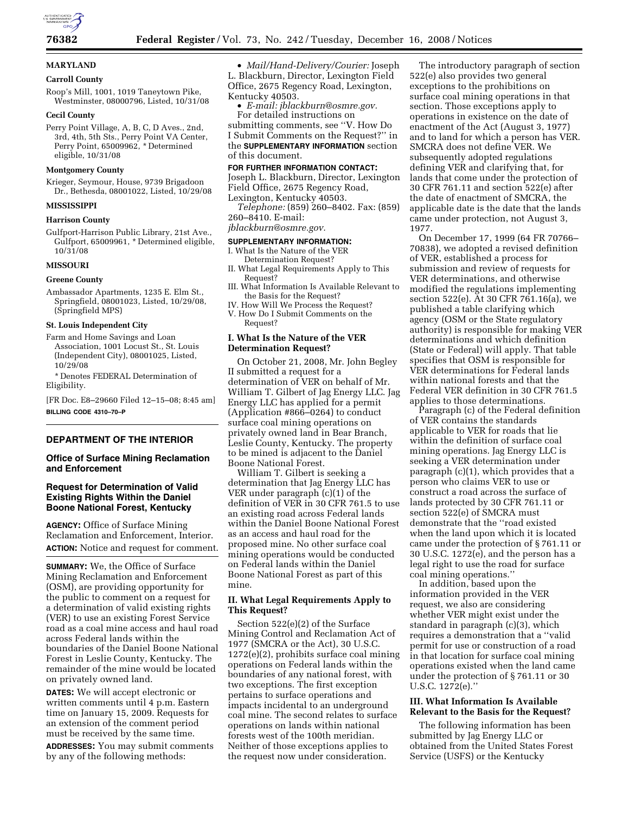

# **MARYLAND**

# **Carroll County**

Roop's Mill, 1001, 1019 Taneytown Pike, Westminster, 08000796, Listed, 10/31/08

### **Cecil County**

Perry Point Village, A, B, C, D Aves., 2nd, 3rd, 4th, 5th Sts., Perry Point VA Center, Perry Point, 65009962, \* Determined eligible, 10/31/08

### **Montgomery County**

Krieger, Seymour, House, 9739 Brigadoon Dr., Bethesda, 08001022, Listed, 10/29/08

## **MISSISSIPPI**

#### **Harrison County**

Gulfport-Harrison Public Library, 21st Ave., Gulfport, 65009961, \* Determined eligible, 10/31/08

### **MISSOURI**

#### **Greene County**

Ambassador Apartments, 1235 E. Elm St., Springfield, 08001023, Listed, 10/29/08, (Springfield MPS)

#### **St. Louis Independent City**

Farm and Home Savings and Loan Association, 1001 Locust St., St. Louis (Independent City), 08001025, Listed, 10/29/08

\* Denotes FEDERAL Determination of Eligibility.

[FR Doc. E8–29660 Filed 12–15–08; 8:45 am] **BILLING CODE 4310–70–P** 

# **DEPARTMENT OF THE INTERIOR**

# **Office of Surface Mining Reclamation and Enforcement**

# **Request for Determination of Valid Existing Rights Within the Daniel Boone National Forest, Kentucky**

**AGENCY:** Office of Surface Mining Reclamation and Enforcement, Interior. **ACTION:** Notice and request for comment.

**SUMMARY:** We, the Office of Surface Mining Reclamation and Enforcement (OSM), are providing opportunity for the public to comment on a request for a determination of valid existing rights (VER) to use an existing Forest Service road as a coal mine access and haul road across Federal lands within the boundaries of the Daniel Boone National Forest in Leslie County, Kentucky. The remainder of the mine would be located on privately owned land.

**DATES:** We will accept electronic or written comments until 4 p.m. Eastern time on January 15, 2009. Requests for an extension of the comment period must be received by the same time.

**ADDRESSES:** You may submit comments by any of the following methods:

• *Mail/Hand-Delivery/Courier:* Joseph L. Blackburn, Director, Lexington Field Office, 2675 Regency Road, Lexington, Kentucky 40503.

• *E-mail: jblackburn@osmre.gov.*  For detailed instructions on

submitting comments, see ''V. How Do I Submit Comments on the Request?'' in the **SUPPLEMENTARY INFORMATION** section of this document.

# **FOR FURTHER INFORMATION CONTACT:**

Joseph L. Blackburn, Director, Lexington Field Office, 2675 Regency Road, Lexington, Kentucky 40503.

*Telephone:* (859) 260–8402. Fax: (859) 260–8410. E-mail:

*jblackburn@osmre.gov.* 

# **SUPPLEMENTARY INFORMATION:**

- I. What Is the Nature of the VER Determination Request?
- II. What Legal Requirements Apply to This Request?
- III. What Information Is Available Relevant to the Basis for the Request?
- IV. How Will We Process the Request?
- V. How Do I Submit Comments on the Request?

# **I. What Is the Nature of the VER Determination Request?**

On October 21, 2008, Mr. John Begley II submitted a request for a determination of VER on behalf of Mr. William T. Gilbert of Jag Energy LLC. Jag Energy LLC has applied for a permit (Application #866–0264) to conduct surface coal mining operations on privately owned land in Bear Branch, Leslie County, Kentucky. The property to be mined is adjacent to the Daniel Boone National Forest.

William T. Gilbert is seeking a determination that Jag Energy LLC has VER under paragraph (c)(1) of the definition of VER in 30 CFR 761.5 to use an existing road across Federal lands within the Daniel Boone National Forest as an access and haul road for the proposed mine. No other surface coal mining operations would be conducted on Federal lands within the Daniel Boone National Forest as part of this mine.

# **II. What Legal Requirements Apply to This Request?**

Section 522(e)(2) of the Surface Mining Control and Reclamation Act of 1977 (SMCRA or the Act), 30 U.S.C. 1272(e)(2), prohibits surface coal mining operations on Federal lands within the boundaries of any national forest, with two exceptions. The first exception pertains to surface operations and impacts incidental to an underground coal mine. The second relates to surface operations on lands within national forests west of the 100th meridian. Neither of those exceptions applies to the request now under consideration.

The introductory paragraph of section 522(e) also provides two general exceptions to the prohibitions on surface coal mining operations in that section. Those exceptions apply to operations in existence on the date of enactment of the Act (August 3, 1977) and to land for which a person has VER. SMCRA does not define VER. We subsequently adopted regulations defining VER and clarifying that, for lands that come under the protection of 30 CFR 761.11 and section 522(e) after the date of enactment of SMCRA, the applicable date is the date that the lands came under protection, not August 3, 1977.

On December 17, 1999 (64 FR 70766– 70838), we adopted a revised definition of VER, established a process for submission and review of requests for VER determinations, and otherwise modified the regulations implementing section 522(e). At 30 CFR 761.16(a), we published a table clarifying which agency (OSM or the State regulatory authority) is responsible for making VER determinations and which definition (State or Federal) will apply. That table specifies that OSM is responsible for VER determinations for Federal lands within national forests and that the Federal VER definition in 30 CFR 761.5 applies to those determinations.

Paragraph (c) of the Federal definition of VER contains the standards applicable to VER for roads that lie within the definition of surface coal mining operations. Jag Energy LLC is seeking a VER determination under paragraph (c)(1), which provides that a person who claims VER to use or construct a road across the surface of lands protected by 30 CFR 761.11 or section 522(e) of SMCRA must demonstrate that the ''road existed when the land upon which it is located came under the protection of § 761.11 or 30 U.S.C. 1272(e), and the person has a legal right to use the road for surface coal mining operations.''

In addition, based upon the information provided in the VER request, we also are considering whether VER might exist under the standard in paragraph (c)(3), which requires a demonstration that a ''valid permit for use or construction of a road in that location for surface coal mining operations existed when the land came under the protection of § 761.11 or 30 U.S.C. 1272(e).''

# **III. What Information Is Available Relevant to the Basis for the Request?**

The following information has been submitted by Jag Energy LLC or obtained from the United States Forest Service (USFS) or the Kentucky